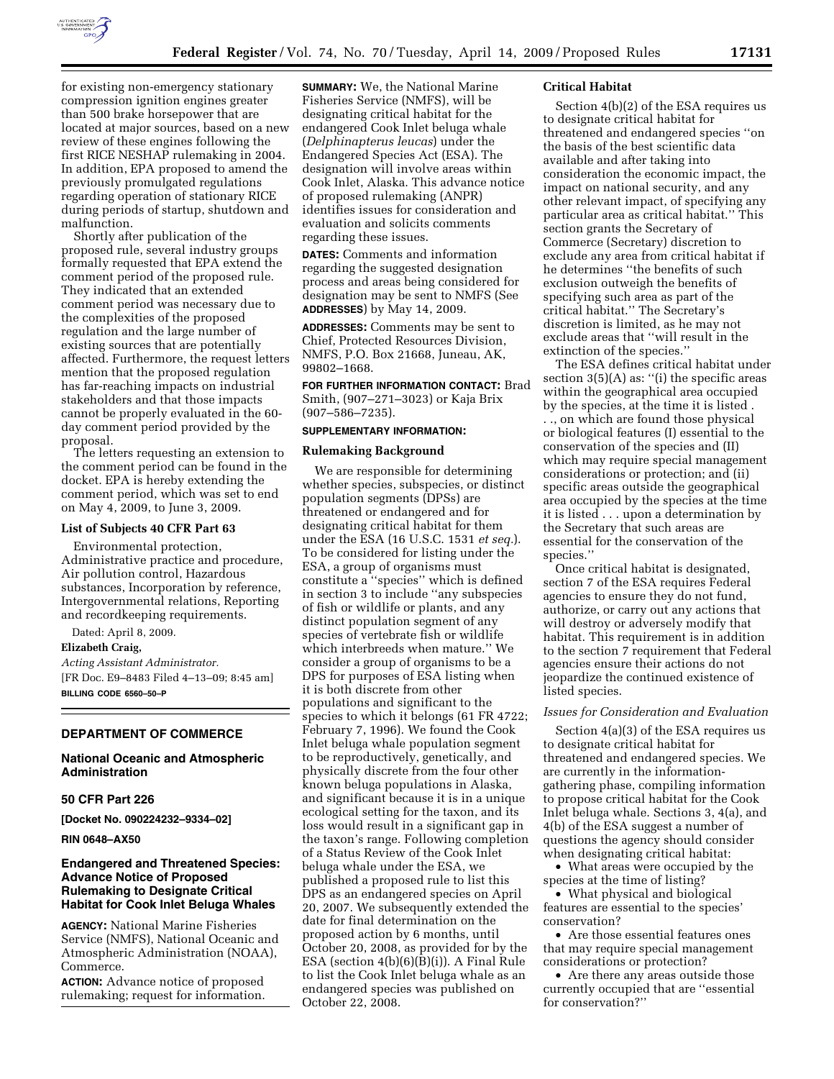

for existing non-emergency stationary compression ignition engines greater than 500 brake horsepower that are located at major sources, based on a new review of these engines following the first RICE NESHAP rulemaking in 2004. In addition, EPA proposed to amend the previously promulgated regulations regarding operation of stationary RICE during periods of startup, shutdown and malfunction.

Shortly after publication of the proposed rule, several industry groups formally requested that EPA extend the comment period of the proposed rule. They indicated that an extended comment period was necessary due to the complexities of the proposed regulation and the large number of existing sources that are potentially affected. Furthermore, the request letters mention that the proposed regulation has far-reaching impacts on industrial stakeholders and that those impacts cannot be properly evaluated in the 60 day comment period provided by the proposal.

The letters requesting an extension to the comment period can be found in the docket. EPA is hereby extending the comment period, which was set to end on May 4, 2009, to June 3, 2009.

### **List of Subjects 40 CFR Part 63**

Environmental protection, Administrative practice and procedure, Air pollution control, Hazardous substances, Incorporation by reference, Intergovernmental relations, Reporting and recordkeeping requirements.

Dated: April 8, 2009.

**Elizabeth Craig,** 

*Acting Assistant Administrator.*  [FR Doc. E9–8483 Filed 4–13–09; 8:45 am] **BILLING CODE 6560–50–P** 

# **DEPARTMENT OF COMMERCE**

### **National Oceanic and Atmospheric Administration**

## **50 CFR Part 226**

**[Docket No. 090224232–9334–02]** 

**RIN 0648–AX50** 

## **Endangered and Threatened Species: Advance Notice of Proposed Rulemaking to Designate Critical Habitat for Cook Inlet Beluga Whales**

**AGENCY:** National Marine Fisheries Service (NMFS), National Oceanic and Atmospheric Administration (NOAA), Commerce.

**ACTION:** Advance notice of proposed rulemaking; request for information.

**SUMMARY:** We, the National Marine Fisheries Service (NMFS), will be designating critical habitat for the endangered Cook Inlet beluga whale (*Delphinapterus leucas*) under the Endangered Species Act (ESA). The designation will involve areas within Cook Inlet, Alaska. This advance notice of proposed rulemaking (ANPR) identifies issues for consideration and evaluation and solicits comments regarding these issues.

**DATES:** Comments and information regarding the suggested designation process and areas being considered for designation may be sent to NMFS (See **ADDRESSES**) by May 14, 2009.

**ADDRESSES:** Comments may be sent to Chief, Protected Resources Division, NMFS, P.O. Box 21668, Juneau, AK, 99802–1668.

**FOR FURTHER INFORMATION CONTACT:** Brad Smith, (907–271–3023) or Kaja Brix (907–586–7235).

#### **SUPPLEMENTARY INFORMATION:**

### **Rulemaking Background**

We are responsible for determining whether species, subspecies, or distinct population segments (DPSs) are threatened or endangered and for designating critical habitat for them under the ESA (16 U.S.C. 1531 *et seq.*). To be considered for listing under the ESA, a group of organisms must constitute a ''species'' which is defined in section 3 to include ''any subspecies of fish or wildlife or plants, and any distinct population segment of any species of vertebrate fish or wildlife which interbreeds when mature.'' We consider a group of organisms to be a DPS for purposes of ESA listing when it is both discrete from other populations and significant to the species to which it belongs (61 FR 4722; February 7, 1996). We found the Cook Inlet beluga whale population segment to be reproductively, genetically, and physically discrete from the four other known beluga populations in Alaska, and significant because it is in a unique ecological setting for the taxon, and its loss would result in a significant gap in the taxon's range. Following completion of a Status Review of the Cook Inlet beluga whale under the ESA, we published a proposed rule to list this DPS as an endangered species on April 20, 2007. We subsequently extended the date for final determination on the proposed action by 6 months, until October 20, 2008, as provided for by the ESA (section 4(b)(6)(B)(i)). A Final Rule to list the Cook Inlet beluga whale as an endangered species was published on October 22, 2008.

#### **Critical Habitat**

Section 4(b)(2) of the ESA requires us to designate critical habitat for threatened and endangered species ''on the basis of the best scientific data available and after taking into consideration the economic impact, the impact on national security, and any other relevant impact, of specifying any particular area as critical habitat.'' This section grants the Secretary of Commerce (Secretary) discretion to exclude any area from critical habitat if he determines ''the benefits of such exclusion outweigh the benefits of specifying such area as part of the critical habitat.'' The Secretary's discretion is limited, as he may not exclude areas that ''will result in the extinction of the species.''

The ESA defines critical habitat under section  $3(5)(A)$  as: "(i) the specific areas within the geographical area occupied by the species, at the time it is listed . . ., on which are found those physical or biological features (I) essential to the conservation of the species and (II) which may require special management considerations or protection; and (ii) specific areas outside the geographical area occupied by the species at the time it is listed . . . upon a determination by the Secretary that such areas are essential for the conservation of the species.''

Once critical habitat is designated, section 7 of the ESA requires Federal agencies to ensure they do not fund, authorize, or carry out any actions that will destroy or adversely modify that habitat. This requirement is in addition to the section 7 requirement that Federal agencies ensure their actions do not jeopardize the continued existence of listed species.

#### *Issues for Consideration and Evaluation*

Section 4(a)(3) of the ESA requires us to designate critical habitat for threatened and endangered species. We are currently in the informationgathering phase, compiling information to propose critical habitat for the Cook Inlet beluga whale. Sections 3, 4(a), and 4(b) of the ESA suggest a number of questions the agency should consider when designating critical habitat:

• What areas were occupied by the species at the time of listing?

• What physical and biological features are essential to the species' conservation?

• Are those essential features ones that may require special management considerations or protection?

• Are there any areas outside those currently occupied that are ''essential for conservation?''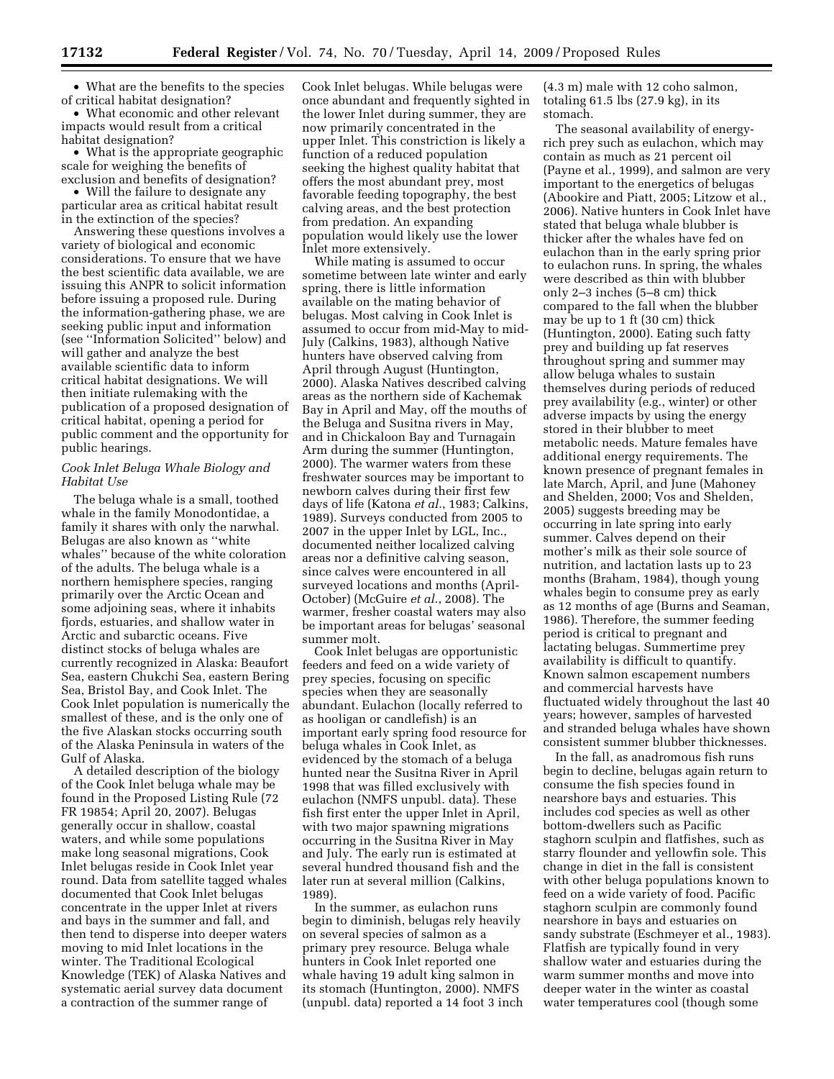• What are the benefits to the species of critical habitat designation?

• What economic and other relevant impacts would result from a critical habitat designation?

• What is the appropriate geographic scale for weighing the benefits of exclusion and benefits of designation?

• Will the failure to designate any particular area as critical habitat result in the extinction of the species?

Answering these questions involves a variety of biological and economic considerations. To ensure that we have the best scientific data available, we are issuing this ANPR to solicit information before issuing a proposed rule. During the information-gathering phase, we are seeking public input and information (see ''Information Solicited'' below) and will gather and analyze the best available scientific data to inform critical habitat designations. We will then initiate rulemaking with the publication of a proposed designation of critical habitat, opening a period for public comment and the opportunity for public hearings.

### *Cook Inlet Beluga Whale Biology and Habitat Use*

The beluga whale is a small, toothed whale in the family Monodontidae, a family it shares with only the narwhal. Belugas are also known as ''white whales'' because of the white coloration of the adults. The beluga whale is a northern hemisphere species, ranging primarily over the Arctic Ocean and some adjoining seas, where it inhabits fjords, estuaries, and shallow water in Arctic and subarctic oceans. Five distinct stocks of beluga whales are currently recognized in Alaska: Beaufort Sea, eastern Chukchi Sea, eastern Bering Sea, Bristol Bay, and Cook Inlet. The Cook Inlet population is numerically the smallest of these, and is the only one of the five Alaskan stocks occurring south of the Alaska Peninsula in waters of the Gulf of Alaska.

A detailed description of the biology of the Cook Inlet beluga whale may be found in the Proposed Listing Rule (72 FR 19854; April 20, 2007). Belugas generally occur in shallow, coastal waters, and while some populations make long seasonal migrations, Cook Inlet belugas reside in Cook Inlet year round. Data from satellite tagged whales documented that Cook Inlet belugas concentrate in the upper Inlet at rivers and bays in the summer and fall, and then tend to disperse into deeper waters moving to mid Inlet locations in the winter. The Traditional Ecological Knowledge (TEK) of Alaska Natives and systematic aerial survey data document a contraction of the summer range of

Cook Inlet belugas. While belugas were once abundant and frequently sighted in the lower Inlet during summer, they are now primarily concentrated in the upper Inlet. This constriction is likely a function of a reduced population seeking the highest quality habitat that offers the most abundant prey, most favorable feeding topography, the best calving areas, and the best protection from predation. An expanding population would likely use the lower Inlet more extensively.

While mating is assumed to occur sometime between late winter and early spring, there is little information available on the mating behavior of belugas. Most calving in Cook Inlet is assumed to occur from mid-May to mid-July (Calkins, 1983), although Native hunters have observed calving from April through August (Huntington, 2000). Alaska Natives described calving areas as the northern side of Kachemak Bay in April and May, off the mouths of the Beluga and Susitna rivers in May, and in Chickaloon Bay and Turnagain Arm during the summer (Huntington, 2000). The warmer waters from these freshwater sources may be important to newborn calves during their first few days of life (Katona *et al.*, 1983; Calkins, 1989). Surveys conducted from 2005 to 2007 in the upper Inlet by LGL, Inc., documented neither localized calving areas nor a definitive calving season, since calves were encountered in all surveyed locations and months (April-October) (McGuire *et al.*, 2008). The warmer, fresher coastal waters may also be important areas for belugas' seasonal summer molt.

Cook Inlet belugas are opportunistic feeders and feed on a wide variety of prey species, focusing on specific species when they are seasonally abundant. Eulachon (locally referred to as hooligan or candlefish) is an important early spring food resource for beluga whales in Cook Inlet, as evidenced by the stomach of a beluga hunted near the Susitna River in April 1998 that was filled exclusively with eulachon (NMFS unpubl. data). These fish first enter the upper Inlet in April, with two major spawning migrations occurring in the Susitna River in May and July. The early run is estimated at several hundred thousand fish and the later run at several million (Calkins, 1989).

In the summer, as eulachon runs begin to diminish, belugas rely heavily on several species of salmon as a primary prey resource. Beluga whale hunters in Cook Inlet reported one whale having 19 adult king salmon in its stomach (Huntington, 2000). NMFS (unpubl. data) reported a 14 foot 3 inch

(4.3 m) male with 12 coho salmon, totaling 61.5 lbs (27.9 kg), in its stomach.

The seasonal availability of energyrich prey such as eulachon, which may contain as much as 21 percent oil (Payne et al., 1999), and salmon are very important to the energetics of belugas (Abookire and Piatt, 2005; Litzow et al., 2006). Native hunters in Cook Inlet have stated that beluga whale blubber is thicker after the whales have fed on eulachon than in the early spring prior to eulachon runs. In spring, the whales were described as thin with blubber only 2–3 inches (5–8 cm) thick compared to the fall when the blubber may be up to 1 ft (30 cm) thick (Huntington, 2000). Eating such fatty prey and building up fat reserves throughout spring and summer may allow beluga whales to sustain themselves during periods of reduced prey availability (e.g., winter) or other adverse impacts by using the energy stored in their blubber to meet metabolic needs. Mature females have additional energy requirements. The known presence of pregnant females in late March, April, and June (Mahoney and Shelden, 2000; Vos and Shelden, 2005) suggests breeding may be occurring in late spring into early summer. Calves depend on their mother's milk as their sole source of nutrition, and lactation lasts up to 23 months (Braham, 1984), though young whales begin to consume prey as early as 12 months of age (Burns and Seaman, 1986). Therefore, the summer feeding period is critical to pregnant and lactating belugas. Summertime prey availability is difficult to quantify. Known salmon escapement numbers and commercial harvests have fluctuated widely throughout the last 40 years; however, samples of harvested and stranded beluga whales have shown consistent summer blubber thicknesses.

In the fall, as anadromous fish runs begin to decline, belugas again return to consume the fish species found in nearshore bays and estuaries. This includes cod species as well as other bottom-dwellers such as Pacific staghorn sculpin and flatfishes, such as starry flounder and yellowfin sole. This change in diet in the fall is consistent with other beluga populations known to feed on a wide variety of food. Pacific staghorn sculpin are commonly found nearshore in bays and estuaries on sandy substrate (Eschmeyer et al., 1983). Flatfish are typically found in very shallow water and estuaries during the warm summer months and move into deeper water in the winter as coastal water temperatures cool (though some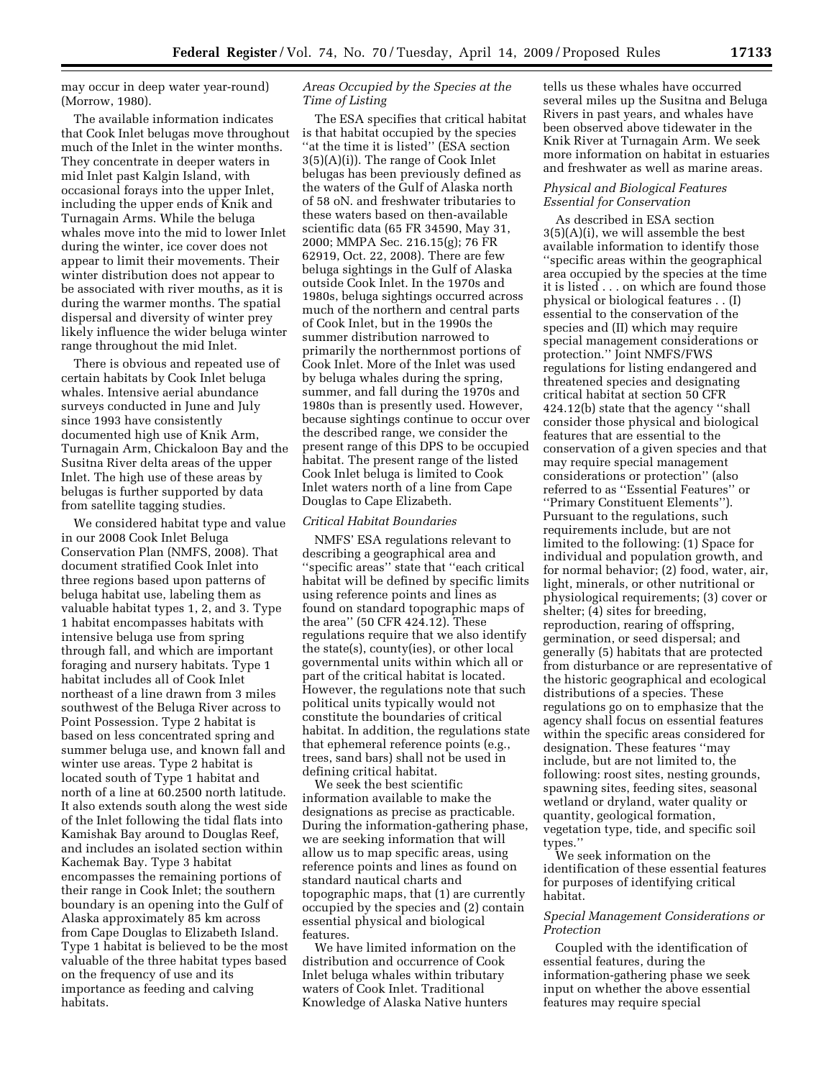may occur in deep water year-round) (Morrow, 1980).

The available information indicates that Cook Inlet belugas move throughout much of the Inlet in the winter months. They concentrate in deeper waters in mid Inlet past Kalgin Island, with occasional forays into the upper Inlet, including the upper ends of Knik and Turnagain Arms. While the beluga whales move into the mid to lower Inlet during the winter, ice cover does not appear to limit their movements. Their winter distribution does not appear to be associated with river mouths, as it is during the warmer months. The spatial dispersal and diversity of winter prey likely influence the wider beluga winter range throughout the mid Inlet.

There is obvious and repeated use of certain habitats by Cook Inlet beluga whales. Intensive aerial abundance surveys conducted in June and July since 1993 have consistently documented high use of Knik Arm, Turnagain Arm, Chickaloon Bay and the Susitna River delta areas of the upper Inlet. The high use of these areas by belugas is further supported by data from satellite tagging studies.

We considered habitat type and value in our 2008 Cook Inlet Beluga Conservation Plan (NMFS, 2008). That document stratified Cook Inlet into three regions based upon patterns of beluga habitat use, labeling them as valuable habitat types 1, 2, and 3. Type 1 habitat encompasses habitats with intensive beluga use from spring through fall, and which are important foraging and nursery habitats. Type 1 habitat includes all of Cook Inlet northeast of a line drawn from 3 miles southwest of the Beluga River across to Point Possession. Type 2 habitat is based on less concentrated spring and summer beluga use, and known fall and winter use areas. Type 2 habitat is located south of Type 1 habitat and north of a line at 60.2500 north latitude. It also extends south along the west side of the Inlet following the tidal flats into Kamishak Bay around to Douglas Reef, and includes an isolated section within Kachemak Bay. Type 3 habitat encompasses the remaining portions of their range in Cook Inlet; the southern boundary is an opening into the Gulf of Alaska approximately 85 km across from Cape Douglas to Elizabeth Island. Type 1 habitat is believed to be the most valuable of the three habitat types based on the frequency of use and its importance as feeding and calving habitats.

# *Areas Occupied by the Species at the Time of Listing*

The ESA specifies that critical habitat is that habitat occupied by the species ''at the time it is listed'' (ESA section 3(5)(A)(i)). The range of Cook Inlet belugas has been previously defined as the waters of the Gulf of Alaska north of 58 oN. and freshwater tributaries to these waters based on then-available scientific data (65 FR 34590, May 31, 2000; MMPA Sec. 216.15(g); 76 FR 62919, Oct. 22, 2008). There are few beluga sightings in the Gulf of Alaska outside Cook Inlet. In the 1970s and 1980s, beluga sightings occurred across much of the northern and central parts of Cook Inlet, but in the 1990s the summer distribution narrowed to primarily the northernmost portions of Cook Inlet. More of the Inlet was used by beluga whales during the spring, summer, and fall during the 1970s and 1980s than is presently used. However, because sightings continue to occur over the described range, we consider the present range of this DPS to be occupied habitat. The present range of the listed Cook Inlet beluga is limited to Cook Inlet waters north of a line from Cape Douglas to Cape Elizabeth.

#### *Critical Habitat Boundaries*

NMFS' ESA regulations relevant to describing a geographical area and ''specific areas'' state that ''each critical habitat will be defined by specific limits using reference points and lines as found on standard topographic maps of the area'' (50 CFR 424.12). These regulations require that we also identify the state(s), county(ies), or other local governmental units within which all or part of the critical habitat is located. However, the regulations note that such political units typically would not constitute the boundaries of critical habitat. In addition, the regulations state that ephemeral reference points (e.g., trees, sand bars) shall not be used in defining critical habitat.

We seek the best scientific information available to make the designations as precise as practicable. During the information-gathering phase, we are seeking information that will allow us to map specific areas, using reference points and lines as found on standard nautical charts and topographic maps, that (1) are currently occupied by the species and (2) contain essential physical and biological features.

We have limited information on the distribution and occurrence of Cook Inlet beluga whales within tributary waters of Cook Inlet. Traditional Knowledge of Alaska Native hunters

tells us these whales have occurred several miles up the Susitna and Beluga Rivers in past years, and whales have been observed above tidewater in the Knik River at Turnagain Arm. We seek more information on habitat in estuaries and freshwater as well as marine areas.

### *Physical and Biological Features Essential for Conservation*

As described in ESA section 3(5)(A)(i), we will assemble the best available information to identify those ''specific areas within the geographical area occupied by the species at the time it is listed . . . on which are found those physical or biological features . . (I) essential to the conservation of the species and (II) which may require special management considerations or protection.'' Joint NMFS/FWS regulations for listing endangered and threatened species and designating critical habitat at section 50 CFR 424.12(b) state that the agency ''shall consider those physical and biological features that are essential to the conservation of a given species and that may require special management considerations or protection'' (also referred to as ''Essential Features'' or ''Primary Constituent Elements''). Pursuant to the regulations, such requirements include, but are not limited to the following: (1) Space for individual and population growth, and for normal behavior; (2) food, water, air, light, minerals, or other nutritional or physiological requirements; (3) cover or shelter; (4) sites for breeding, reproduction, rearing of offspring, germination, or seed dispersal; and generally (5) habitats that are protected from disturbance or are representative of the historic geographical and ecological distributions of a species. These regulations go on to emphasize that the agency shall focus on essential features within the specific areas considered for designation. These features ''may include, but are not limited to, the following: roost sites, nesting grounds, spawning sites, feeding sites, seasonal wetland or dryland, water quality or quantity, geological formation, vegetation type, tide, and specific soil types.''

We seek information on the identification of these essential features for purposes of identifying critical habitat.

### *Special Management Considerations or Protection*

Coupled with the identification of essential features, during the information-gathering phase we seek input on whether the above essential features may require special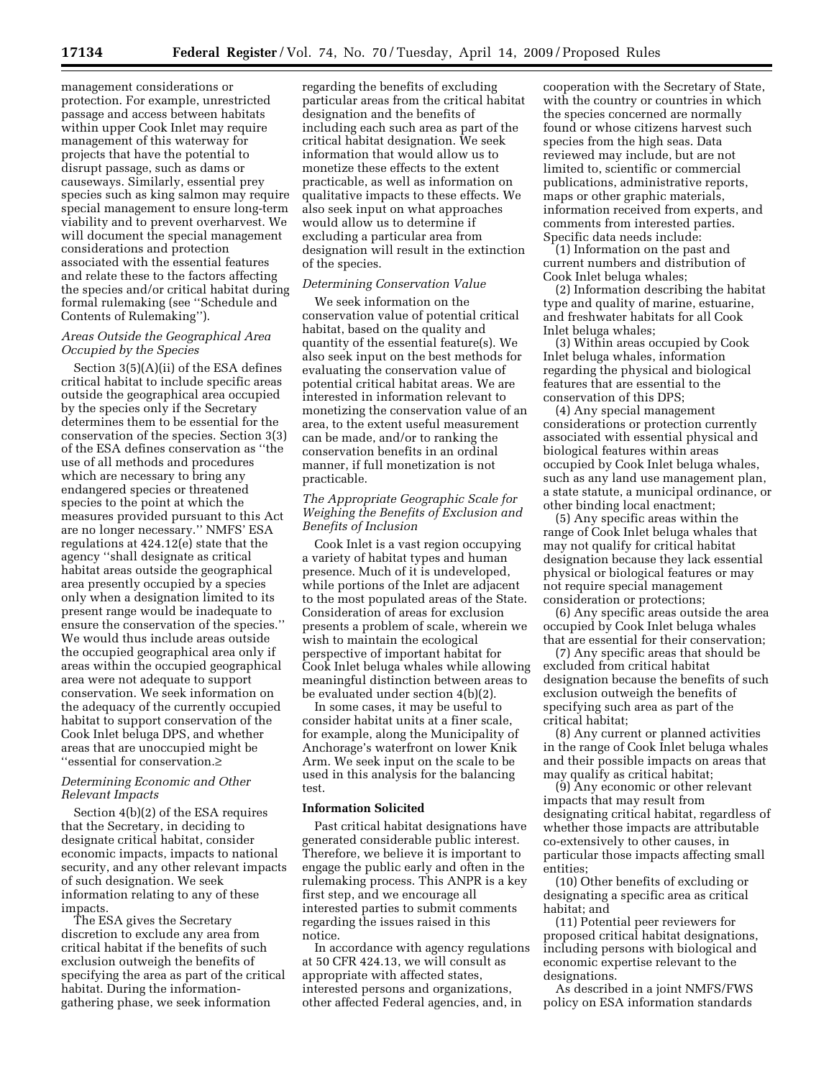management considerations or protection. For example, unrestricted passage and access between habitats within upper Cook Inlet may require management of this waterway for projects that have the potential to disrupt passage, such as dams or causeways. Similarly, essential prey species such as king salmon may require special management to ensure long-term viability and to prevent overharvest. We will document the special management considerations and protection associated with the essential features and relate these to the factors affecting the species and/or critical habitat during formal rulemaking (see ''Schedule and Contents of Rulemaking'').

## *Areas Outside the Geographical Area Occupied by the Species*

Section 3(5)(A)(ii) of the ESA defines critical habitat to include specific areas outside the geographical area occupied by the species only if the Secretary determines them to be essential for the conservation of the species. Section 3(3) of the ESA defines conservation as ''the use of all methods and procedures which are necessary to bring any endangered species or threatened species to the point at which the measures provided pursuant to this Act are no longer necessary.'' NMFS' ESA regulations at 424.12(e) state that the agency ''shall designate as critical habitat areas outside the geographical area presently occupied by a species only when a designation limited to its present range would be inadequate to ensure the conservation of the species.'' We would thus include areas outside the occupied geographical area only if areas within the occupied geographical area were not adequate to support conservation. We seek information on the adequacy of the currently occupied habitat to support conservation of the Cook Inlet beluga DPS, and whether areas that are unoccupied might be ''essential for conservation.≥

### *Determining Economic and Other Relevant Impacts*

Section 4(b)(2) of the ESA requires that the Secretary, in deciding to designate critical habitat, consider economic impacts, impacts to national security, and any other relevant impacts of such designation. We seek information relating to any of these impacts.

The ESA gives the Secretary discretion to exclude any area from critical habitat if the benefits of such exclusion outweigh the benefits of specifying the area as part of the critical habitat. During the informationgathering phase, we seek information

regarding the benefits of excluding particular areas from the critical habitat designation and the benefits of including each such area as part of the critical habitat designation. We seek information that would allow us to monetize these effects to the extent practicable, as well as information on qualitative impacts to these effects. We also seek input on what approaches would allow us to determine if excluding a particular area from designation will result in the extinction of the species.

### *Determining Conservation Value*

We seek information on the conservation value of potential critical habitat, based on the quality and quantity of the essential feature(s). We also seek input on the best methods for evaluating the conservation value of potential critical habitat areas. We are interested in information relevant to monetizing the conservation value of an area, to the extent useful measurement can be made, and/or to ranking the conservation benefits in an ordinal manner, if full monetization is not practicable.

### *The Appropriate Geographic Scale for Weighing the Benefits of Exclusion and Benefits of Inclusion*

Cook Inlet is a vast region occupying a variety of habitat types and human presence. Much of it is undeveloped, while portions of the Inlet are adjacent to the most populated areas of the State. Consideration of areas for exclusion presents a problem of scale, wherein we wish to maintain the ecological perspective of important habitat for Cook Inlet beluga whales while allowing meaningful distinction between areas to be evaluated under section 4(b)(2).

In some cases, it may be useful to consider habitat units at a finer scale, for example, along the Municipality of Anchorage's waterfront on lower Knik Arm. We seek input on the scale to be used in this analysis for the balancing test.

#### **Information Solicited**

Past critical habitat designations have generated considerable public interest. Therefore, we believe it is important to engage the public early and often in the rulemaking process. This ANPR is a key first step, and we encourage all interested parties to submit comments regarding the issues raised in this notice.

In accordance with agency regulations at 50 CFR 424.13, we will consult as appropriate with affected states, interested persons and organizations, other affected Federal agencies, and, in

cooperation with the Secretary of State, with the country or countries in which the species concerned are normally found or whose citizens harvest such species from the high seas. Data reviewed may include, but are not limited to, scientific or commercial publications, administrative reports, maps or other graphic materials, information received from experts, and comments from interested parties. Specific data needs include:

(1) Information on the past and current numbers and distribution of Cook Inlet beluga whales;

(2) Information describing the habitat type and quality of marine, estuarine, and freshwater habitats for all Cook Inlet beluga whales;

(3) Within areas occupied by Cook Inlet beluga whales, information regarding the physical and biological features that are essential to the conservation of this DPS;

(4) Any special management considerations or protection currently associated with essential physical and biological features within areas occupied by Cook Inlet beluga whales, such as any land use management plan, a state statute, a municipal ordinance, or other binding local enactment;

(5) Any specific areas within the range of Cook Inlet beluga whales that may not qualify for critical habitat designation because they lack essential physical or biological features or may not require special management consideration or protections;

(6) Any specific areas outside the area occupied by Cook Inlet beluga whales that are essential for their conservation;

(7) Any specific areas that should be excluded from critical habitat designation because the benefits of such exclusion outweigh the benefits of specifying such area as part of the critical habitat;

(8) Any current or planned activities in the range of Cook Inlet beluga whales and their possible impacts on areas that may qualify as critical habitat;

(9) Any economic or other relevant impacts that may result from designating critical habitat, regardless of whether those impacts are attributable co-extensively to other causes, in particular those impacts affecting small entities;

(10) Other benefits of excluding or designating a specific area as critical habitat; and

(11) Potential peer reviewers for proposed critical habitat designations, including persons with biological and economic expertise relevant to the designations.

As described in a joint NMFS/FWS policy on ESA information standards